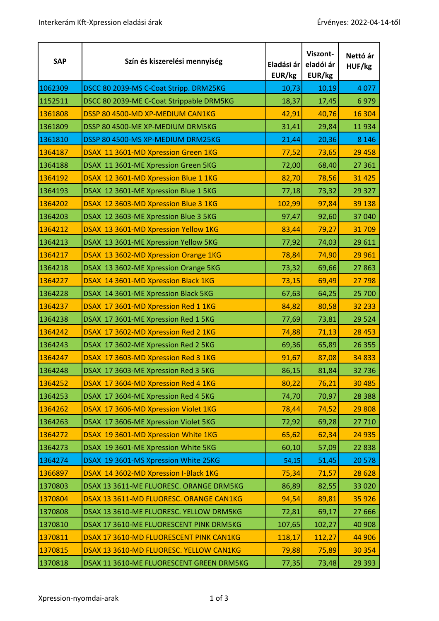| <b>SAP</b> | Szín és kiszerelési mennyiség            | Eladási ár<br>EUR/kg | Viszont-<br>eladói ár<br>EUR/kg | Nettó ár<br>HUF/kg |
|------------|------------------------------------------|----------------------|---------------------------------|--------------------|
| 1062309    | DSCC 80 2039-MS C-Coat Stripp. DRM25KG   | 10,73                | 10,19                           | 4 0 7 7            |
| 1152511    | DSCC 80 2039-ME C-Coat Strippable DRM5KG | 18,37                | 17,45                           | 6979               |
| 1361808    | DSSP 80 4500-MD XP-MEDIUM CAN1KG         | 42,91                | 40,76                           | 16 304             |
| 1361809    | DSSP 80 4500-ME XP-MEDIUM DRM5KG         | 31,41                | 29,84                           | 11934              |
| 1361810    | DSSP 80 4500-MS XP-MEDIUM DRM25KG        | 21,44                | 20,36                           | 8 1 4 6            |
| 1364187    | DSAX 11 3601-MD Xpression Green 1KG      | 77,52                | 73,65                           | 29 4 58            |
| 1364188    | DSAX 11 3601-ME Xpression Green 5KG      | 72,00                | 68,40                           | 27 361             |
| 1364192    | DSAX 12 3601-MD Xpression Blue 1 1KG     | 82,70                | 78,56                           | 31 4 25            |
| 1364193    | DSAX 12 3601-ME Xpression Blue 1 5KG     | 77,18                | 73,32                           | 29 3 27            |
| 1364202    | DSAX 12 3603-MD Xpression Blue 3 1KG     | 102,99               | 97,84                           | 39 138             |
| 1364203    | DSAX 12 3603-ME Xpression Blue 3 5KG     | 97,47                | 92,60                           | 37 040             |
| 1364212    | DSAX 13 3601-MD Xpression Yellow 1KG     | 83,44                | 79,27                           | 31709              |
| 1364213    | DSAX 13 3601-ME Xpression Yellow 5KG     | 77,92                | 74,03                           | 29 611             |
| 1364217    | DSAX 13 3602-MD Xpression Orange 1KG     | 78,84                | 74,90                           | 29 961             |
| 1364218    | DSAX 13 3602-ME Xpression Orange 5KG     | 73,32                | 69,66                           | 27863              |
| 1364227    | DSAX 14 3601-MD Xpression Black 1KG      | 73,15                | 69,49                           | 27 798             |
| 1364228    | DSAX 14 3601-ME Xpression Black 5KG      | 67,63                | 64,25                           | 25 700             |
| 1364237    | DSAX 17 3601-MD Xpression Red 1 1KG      | 84,82                | 80,58                           | 32 233             |
| 1364238    | DSAX 17 3601-ME Xpression Red 1 5KG      | 77,69                | 73,81                           | 29 5 24            |
| 1364242    | DSAX 17 3602-MD Xpression Red 2 1KG      | 74,88                | 71,13                           | 28 4 53            |
| 1364243    | DSAX 17 3602-ME Xpression Red 2 5KG      | 69,36                | 65,89                           | 26 35 5            |
| 1364247    | DSAX 17 3603-MD Xpression Red 3 1KG      | 91,67                | 87,08                           | 34 8 33            |
| 1364248    | DSAX 17 3603-ME Xpression Red 3 5KG      | 86,15                | 81,84                           | 32736              |
| 1364252    | DSAX 17 3604-MD Xpression Red 4 1KG      | 80,22                | 76,21                           | 30 4 85            |
| 1364253    | DSAX 17 3604-ME Xpression Red 4 5KG      | 74,70                | 70,97                           | 28 3 88            |
| 1364262    | DSAX 17 3606-MD Xpression Violet 1KG     | 78,44                | 74,52                           | 29 808             |
| 1364263    | DSAX 17 3606-ME Xpression Violet 5KG     | 72,92                | 69,28                           | 27 710             |
| 1364272    | DSAX 19 3601-MD Xpression White 1KG      | 65,62                | 62,34                           | 24 9 35            |
| 1364273    | DSAX 19 3601-ME Xpression White 5KG      | 60,10                | 57,09                           | 22 8 38            |
| 1364274    | DSAX 19 3601-MS Xpression White 25KG     | 54,15                | 51,45                           | 20578              |
| 1366897    | DSAX 14 3602-MD Xpression I-Black 1KG    | 75,34                | 71,57                           | 28 6 28            |
| 1370803    | DSAX 13 3611-ME FLUORESC. ORANGE DRM5KG  | 86,89                | 82,55                           | 33 0 20            |
| 1370804    | DSAX 13 3611-MD FLUORESC. ORANGE CAN1KG  | 94,54                | 89,81                           | 35 9 26            |
| 1370808    | DSAX 13 3610-ME FLUORESC. YELLOW DRM5KG  | 72,81                | 69,17                           | 27 6 66            |
| 1370810    | DSAX 17 3610-ME FLUORESCENT PINK DRM5KG  | 107,65               | 102,27                          | 40 908             |
| 1370811    | DSAX 17 3610-MD FLUORESCENT PINK CAN1KG  | 118,17               | 112,27                          | 44 906             |
| 1370815    | DSAX 13 3610-MD FLUORESC. YELLOW CAN1KG  | 79,88                | 75,89                           | 30 354             |
| 1370818    | DSAX 11 3610-ME FLUORESCENT GREEN DRM5KG | 77,35                | 73,48                           | 29 3 93            |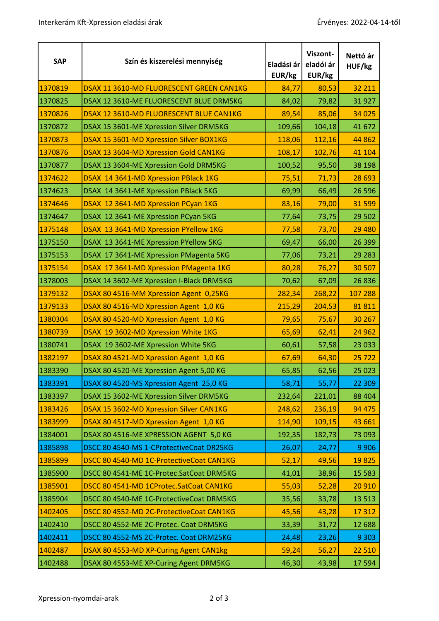| <b>SAP</b> | Szín és kiszerelési mennyiség            | Eladási ár<br>EUR/kg | Viszont-<br>eladói ár<br>EUR/kg | Nettó ár<br>HUF/kg |
|------------|------------------------------------------|----------------------|---------------------------------|--------------------|
| 1370819    | DSAX 11 3610-MD FLUORESCENT GREEN CAN1KG | 84,77                | 80,53                           | 32 211             |
| 1370825    | DSAX 12 3610-ME FLUORESCENT BLUE DRM5KG  | 84,02                | 79,82                           | 31927              |
| 1370826    | DSAX 12 3610-MD FLUORESCENT BLUE CAN1KG  | 89,54                | 85,06                           | 34 0 25            |
| 1370872    | DSAX 15 3601-ME Xpression Silver DRM5KG  | 109,66               | 104,18                          | 41 672             |
| 1370873    | DSAX 15 3601-MD Xpression Silver BOX1KG  | 118,06               | 112,16                          | 44 862             |
| 1370876    | DSAX 13 3604-MD Xpression Gold CAN1KG    | 108,17               | 102,76                          | 41 104             |
| 1370877    | DSAX 13 3604-ME Xpression Gold DRM5KG    | 100,52               | 95,50                           | 38 198             |
| 1374622    | DSAX 14 3641-MD Xpression PBlack 1KG     | 75,51                | 71,73                           | 28 6 93            |
| 1374623    | DSAX 14 3641-ME Xpression PBlack 5KG     | 69,99                | 66,49                           | 26 5 96            |
| 1374646    | DSAX 12 3641-MD Xpression PCyan 1KG      | 83,16                | 79,00                           | 31 599             |
| 1374647    | DSAX 12 3641-ME Xpression PCyan 5KG      | 77,64                | 73,75                           | 29 502             |
| 1375148    | DSAX 13 3641-MD Xpression PYellow 1KG    | 77,58                | 73,70                           | 29 4 80            |
| 1375150    | DSAX 13 3641-ME Xpression PYellow 5KG    | 69,47                | 66,00                           | 26 399             |
| 1375153    | DSAX 17 3641-ME Xpression PMagenta 5KG   | 77,06                | 73,21                           | 29 28 3            |
| 1375154    | DSAX 17 3641-MD Xpression PMagenta 1KG   | 80,28                | 76,27                           | 30 507             |
| 1378003    | DSAX 14 3602-ME Xpression I-Black DRM5KG | 70,62                | 67,09                           | 26836              |
| 1379132    | DSAX 80 4516-MM Xpression Agent 0,25KG   | 282,34               | 268,22                          | 107 288            |
| 1379133    | DSAX 80 4516-MD Xpression Agent 1,0 KG   | 215,29               | 204,53                          | 81811              |
| 1380304    | DSAX 80 4520-MD Xpression Agent 1,0 KG   | 79,65                | 75,67                           | 30 267             |
| 1380739    | DSAX 19 3602-MD Xpression White 1KG      | 65,69                | 62,41                           | 24 9 62            |
| 1380741    | DSAX 19 3602-ME Xpression White 5KG      | 60,61                | 57,58                           | 23 033             |
| 1382197    | DSAX 80 4521-MD Xpression Agent 1,0 KG   | 67,69                | 64,30                           | 25722              |
| 1383390    | DSAX 80 4520-ME Xpression Agent 5,00 KG  | 65,85                | 62,56                           | 25 0 23            |
| 1383391    | DSAX 80 4520-MS Xpression Agent 25,0 KG  | 58,71                | 55,77                           | 22 309             |
| 1383397    | DSAX 15 3602-ME Xpression Silver DRM5KG  | 232,64               | 221,01                          | 88 404             |
| 1383426    | DSAX 15 3602-MD Xpression Silver CAN1KG  | 248,62               | 236,19                          | 94 4 7 5           |
| 1383999    | DSAX 80 4517-MD Xpression Agent 1,0 KG   | 114,90               | 109,15                          | 43 661             |
| 1384001    | DSAX 80 4516-ME XPRESSION AGENT 5,0 KG   | 192,35               | 182,73                          | 73 093             |
| 1385898    | DSCC 80 4540-MS 1-CProtectiveCoat DR25KG | 26,07                | 24,77                           | 9 9 0 6            |
| 1385899    | DSCC 80 4540-MD 1C-ProtectiveCoat CAN1KG | 52,17                | 49,56                           | 19825              |
| 1385900    | DSCC 80 4541-ME 1C-Protec.SatCoat DRM5KG | 41,01                | 38,96                           | 15 5 83            |
| 1385901    | DSCC 80 4541-MD 1CProtec.SatCoat CAN1KG  | 55,03                | 52,28                           | 20 9 10            |
| 1385904    | DSCC 80 4540-ME 1C-ProtectiveCoat DRM5KG | 35,56                | 33,78                           | 13 5 13            |
| 1402405    | DSCC 80 4552-MD 2C-ProtectiveCoat CAN1KG | 45,56                | 43,28                           | 17 312             |
| 1402410    | DSCC 80 4552-ME 2C-Protec. Coat DRM5KG   | 33,39                | 31,72                           | 12 688             |
| 1402411    | DSCC 80 4552-MS 2C-Protec. Coat DRM25KG  | 24,48                | 23,26                           | 9 3 0 3            |
| 1402487    | DSAX 80 4553-MD XP-Curing Agent CAN1kg   | 59,24                | 56,27                           | 22 5 10            |
| 1402488    | DSAX 80 4553-ME XP-Curing Agent DRM5KG   | 46,30                | 43,98                           | 17594              |